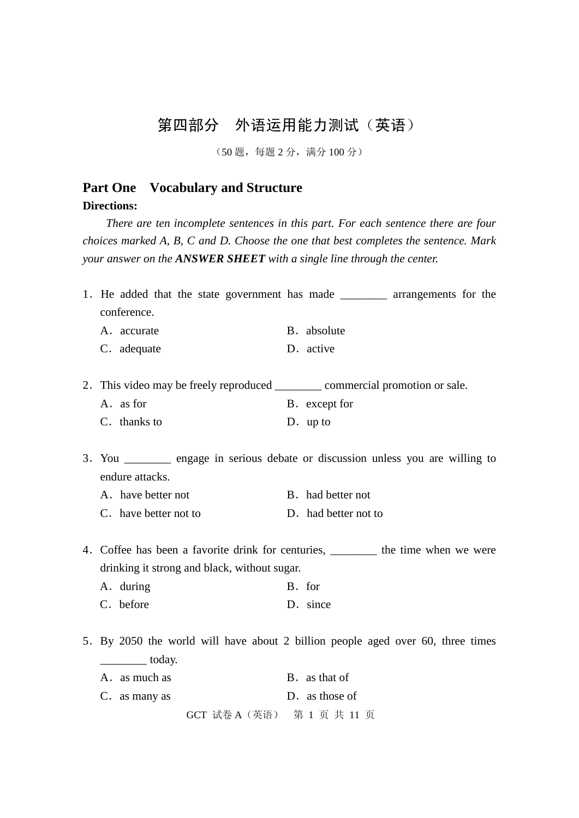# 第四部分 外语运用能力测试(英语)

(50 题,每题 2 分,满分 100 分)

# **Part One Vocabulary and Structure**

**Directions:**

*There are ten incomplete sentences in this part. For each sentence there are four choices marked A, B, C and D. Choose the one that best completes the sentence. Mark your answer on the ANSWER SHEET with a single line through the center.*

| conference.                                  | 1. He added that the state government has made _________ arrangements for the      |
|----------------------------------------------|------------------------------------------------------------------------------------|
| A. accurate                                  | B. absolute                                                                        |
| C. adequate                                  | D. active                                                                          |
|                                              |                                                                                    |
|                                              | 2. This video may be freely reproduced ___________ commercial promotion or sale.   |
| A. as for                                    | B. except for                                                                      |
| C. thanks to                                 | D. up to                                                                           |
|                                              |                                                                                    |
|                                              | 3. You __________ engage in serious debate or discussion unless you are willing to |
| endure attacks.                              |                                                                                    |
| A. have better not                           | B. had better not                                                                  |
| C. have better not to                        | D. had better not to                                                               |
|                                              |                                                                                    |
|                                              | 4. Coffee has been a favorite drink for centuries, ________ the time when we were  |
| drinking it strong and black, without sugar. |                                                                                    |
| A. during                                    | B. for                                                                             |
| C. before                                    | D. since                                                                           |
|                                              |                                                                                    |
|                                              | 5. By 2050 the world will have about 2 billion people aged over 60, three times    |
| $\overline{\phantom{a}}$ today.              |                                                                                    |
| A. as much as                                | B. as that of                                                                      |
| C. as many as                                | D. as those of                                                                     |
|                                              | GCT 试卷 A (英语) 第 1 页 共 11 页                                                         |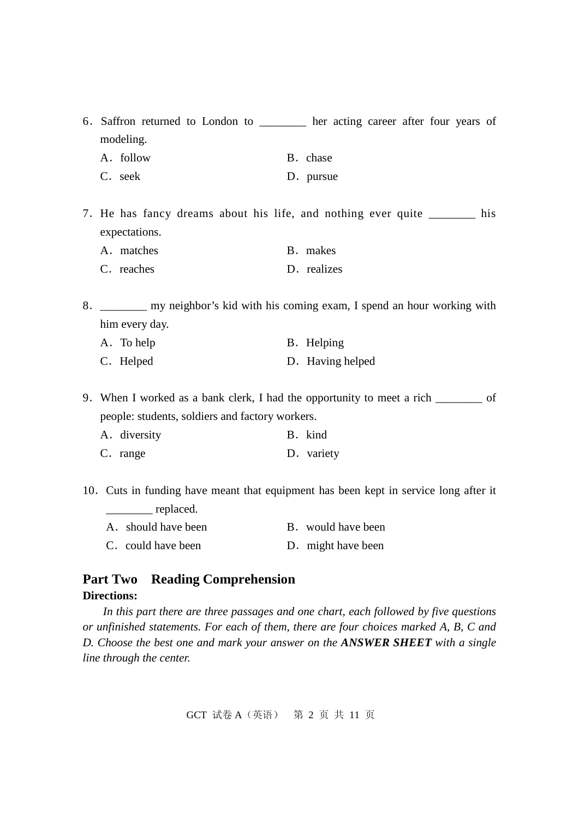6.Saffron returned to London to \_\_\_\_\_\_\_\_ her acting career after four years of modeling.

A. follow B. chase

C. seek D. pursue

7. He has fancy dreams about his life, and nothing ever quite his expectations.

A. matches B. makes

C. reaches D. realizes

8. \_\_\_\_\_\_\_\_ my neighbor's kid with his coming exam, I spend an hour working with him every day.

| A. To help | B. Helping |
|------------|------------|
|------------|------------|

| C. Helped |  | D. Having helped |
|-----------|--|------------------|
|-----------|--|------------------|

9.When I worked as a bank clerk, I had the opportunity to meet a rich \_\_\_\_\_\_\_\_ of people: students, soldiers and factory workers.

| A. diversity | B. kind |
|--------------|---------|
|              |         |

C. range D. variety

10.Cuts in funding have meant that equipment has been kept in service long after it \_\_\_\_\_\_\_\_ replaced.

| A. should have been | B. would have been |
|---------------------|--------------------|
| C. could have been  | D. might have been |

### **Part Two Reading Comprehension**

### **Directions:**

*In this part there are three passages and one chart, each followed by five questions or unfinished statements. For each of them, there are four choices marked A, B, C and D. Choose the best one and mark your answer on the ANSWER SHEET with a single line through the center.*

GCT 试卷 A(英语) 第 2 页 共 11 页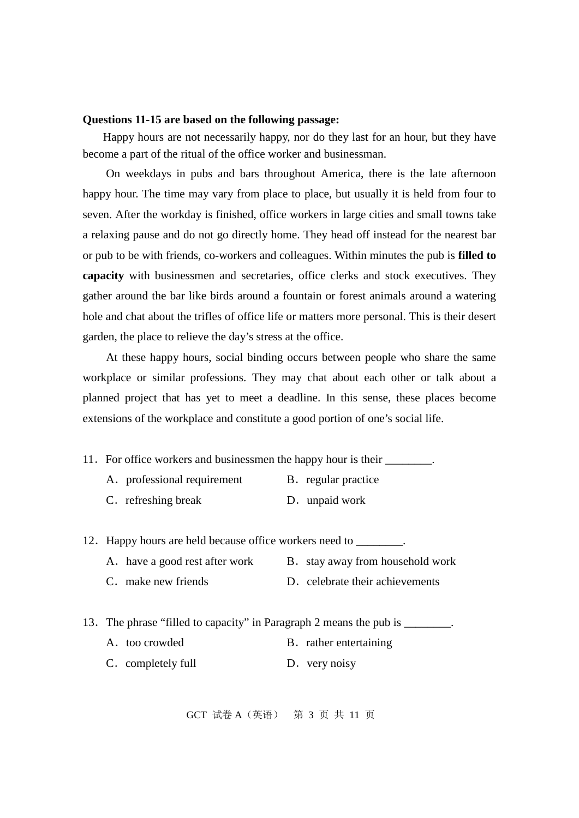#### **Questions 11-15 are based on the following passage:**

Happy hours are not necessarily happy, nor do they last for an hour, but they have become a part of the ritual of the office worker and businessman.

On weekdays in pubs and bars throughout America, there is the late afternoon happy hour. The time may vary from place to place, but usually it is held from four to seven. After the workday is finished, office workers in large cities and small towns take a relaxing pause and do not go directly home. They head off instead for the nearest bar or pub to be with friends, co-workers and colleagues. Within minutes the pub is **filled to capacity** with businessmen and secretaries, office clerks and stock executives. They gather around the bar like birds around a fountain or forest animals around a watering hole and chat about the trifles of office life or matters more personal. This is their desert garden, the place to relieve the day's stress at the office.

At these happy hours, social binding occurs between people who share the same workplace or similar professions. They may chat about each other or talk about a planned project that has yet to meet a deadline. In this sense, these places become extensions of the workplace and constitute a good portion of one's social life.

11. For office workers and businessmen the happy hour is their \_\_\_\_\_\_\_\_.

- A. professional requirement B. regular practice
- C. refreshing break D. unpaid work

12. Happy hours are held because office workers need to \_\_\_\_\_\_\_\_.

- A. have a good rest after work B. stay away from household work
- C. make new friends D. celebrate their achievements
- 13. The phrase "filled to capacity" in Paragraph 2 means the pub is \_\_\_\_\_\_\_\_.
	- A. too crowded B. rather entertaining
	- C. completely full D. very noisy

GCT 试卷 A(英语) 第 3 页 共 11 页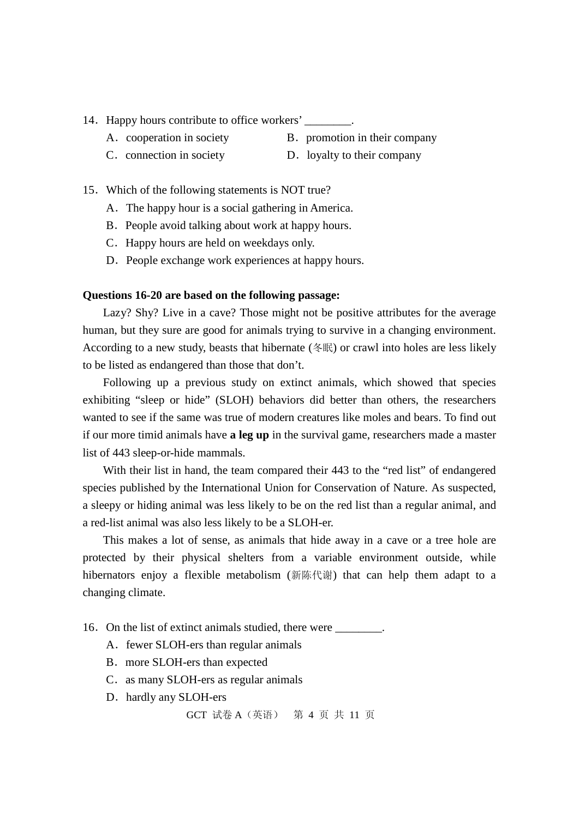- 14. Happy hours contribute to office workers'
	-
	- A. cooperation in society B. promotion in their company
	- C. connection in society D. loyalty to their company
		-
- 15.Which of the following statements is NOT true?
	- A.The happy hour is a social gathering in America.
	- B. People avoid talking about work at happy hours.
	- C.Happy hours are held on weekdays only.
	- D. People exchange work experiences at happy hours.

#### **Questions 16-20 are based on the following passage:**

Lazy? Shy? Live in a cave? Those might not be positive attributes for the average human, but they sure are good for animals trying to survive in a changing environment. According to a new study, beasts that hibernate (冬眠) or crawl into holes are less likely to be listed as endangered than those that don't.

Following up a previous study on extinct animals, which showed that species exhibiting "sleep or hide" (SLOH) behaviors did better than others, the researchers wanted to see if the same was true of modern creatures like moles and bears. To find out if our more timid animals have **a leg up** in the survival game, researchers made a master list of 443 sleep-or-hide mammals.

With their list in hand, the team compared their 443 to the "red list" of endangered species published by the International Union for Conservation of Nature. As suspected, a sleepy or hiding animal was less likely to be on the red list than a regular animal, and a red-list animal was also less likely to be a SLOH-er.

This makes a lot of sense, as animals that hide away in a cave or a tree hole are protected by their physical shelters from a variable environment outside, while hibernators enjoy a flexible metabolism (新陈代谢) that can help them adapt to a changing climate.

- 16. On the list of extinct animals studied, there were \_\_\_\_\_\_\_\_.
	- A. fewer SLOH-ers than regular animals
	- B.more SLOH-ers than expected
	- C. as many SLOH-ers as regular animals
	- D. hardly any SLOH-ers

GCT 试卷 A(英语) 第 4 页 共 11 页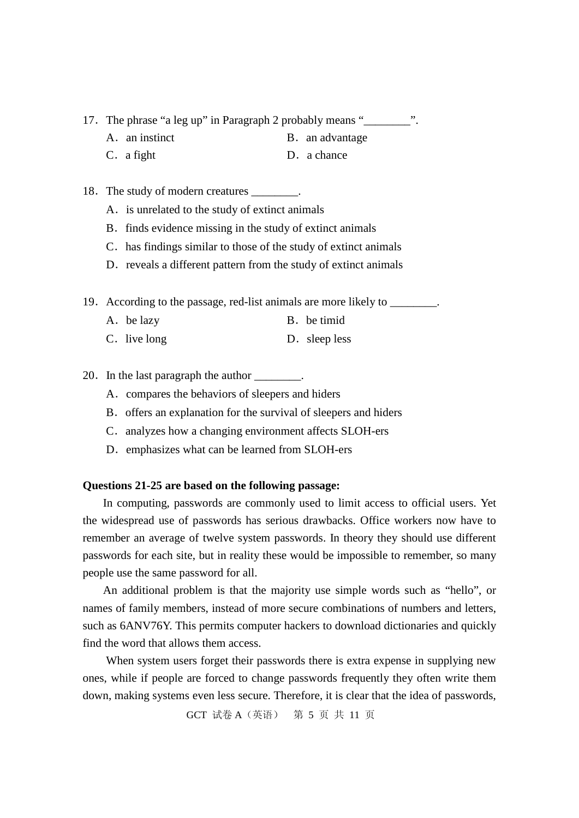- 17. The phrase "a leg up" in Paragraph 2 probably means "\_\_\_\_\_\_\_\_\_".
	- A. an instinct B. an advantage
	- C. a fight D. a chance
- 18. The study of modern creatures \_\_\_\_\_\_\_.
	- A. is unrelated to the study of extinct animals
	- B. finds evidence missing in the study of extinct animals
	- C. has findings similar to those of the study of extinct animals
	- D. reveals a different pattern from the study of extinct animals
- 19. According to the passage, red-list animals are more likely to  $\frac{1}{\sqrt{2\pi}}$ 
	- A.be lazy B.be timid
	- C. live long D. sleep less
- 20. In the last paragraph the author \_\_\_\_\_\_\_\_.
	- A.compares the behaviors of sleepers and hiders
	- B. offers an explanation for the survival of sleepers and hiders
	- C. analyzes how a changing environment affects SLOH-ers
	- D. emphasizes what can be learned from SLOH-ers

#### **Questions 21-25 are based on the following passage:**

In computing, passwords are commonly used to limit access to official users. Yet the widespread use of passwords has serious drawbacks. Office workers now have to remember an average of twelve system passwords. In theory they should use different passwords for each site, but in reality these would be impossible to remember, so many people use the same password for all.

An additional problem is that the majority use simple words such as "hello", or names of family members, instead of more secure combinations of numbers and letters, such as 6ANV76Y. This permits computer hackers to download dictionaries and quickly find the word that allows them access.

When system users forget their passwords there is extra expense in supplying new ones, while if people are forced to change passwords frequently they often write them down, making systems even less secure. Therefore, it is clear that the idea of passwords,

GCT 试卷 A(英语) 第 5 页 共 11 页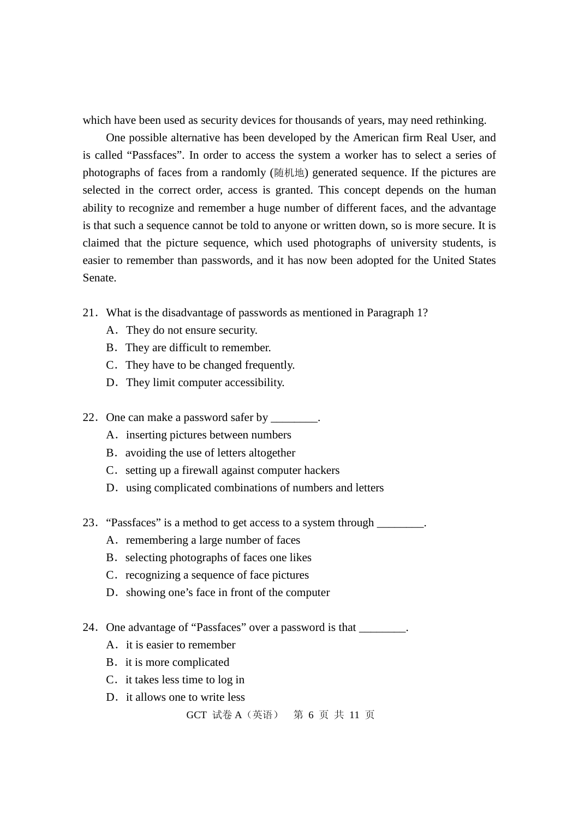which have been used as security devices for thousands of years, may need rethinking.

One possible alternative has been developed by the American firm Real User, and is called "Passfaces". In order to access the system a worker has to select a series of photographs of faces from a randomly (随机地) generated sequence. If the pictures are selected in the correct order, access is granted. This concept depends on the human ability to recognize and remember a huge number of different faces, and the advantage is that such a sequence cannot be told to anyone or written down, so is more secure. It is claimed that the picture sequence, which used photographs of university students, is easier to remember than passwords, and it has now been adopted for the United States Senate.

- 21.What is the disadvantage of passwords as mentioned in Paragraph 1?
	- A.They do not ensure security.
	- B. They are difficult to remember.
	- C.They have to be changed frequently.
	- D.They limit computer accessibility.
- 22. One can make a password safer by \_\_\_\_\_\_\_.
	- A. inserting pictures between numbers
	- B. avoiding the use of letters altogether
	- C. setting up a firewall against computer hackers
	- D. using complicated combinations of numbers and letters
- 23. "Passfaces" is a method to get access to a system through  $\Box$ 
	- A. remembering a large number of faces
	- B. selecting photographs of faces one likes
	- C. recognizing a sequence of face pictures
	- D. showing one's face in front of the computer
- 24. One advantage of "Passfaces" over a password is that \_\_\_\_\_\_\_.
	- A. it is easier to remember
	- B. it is more complicated
	- C. it takes less time to log in
	- D. it allows one to write less

GCT 试卷 A(英语) 第 6 页 共 11 页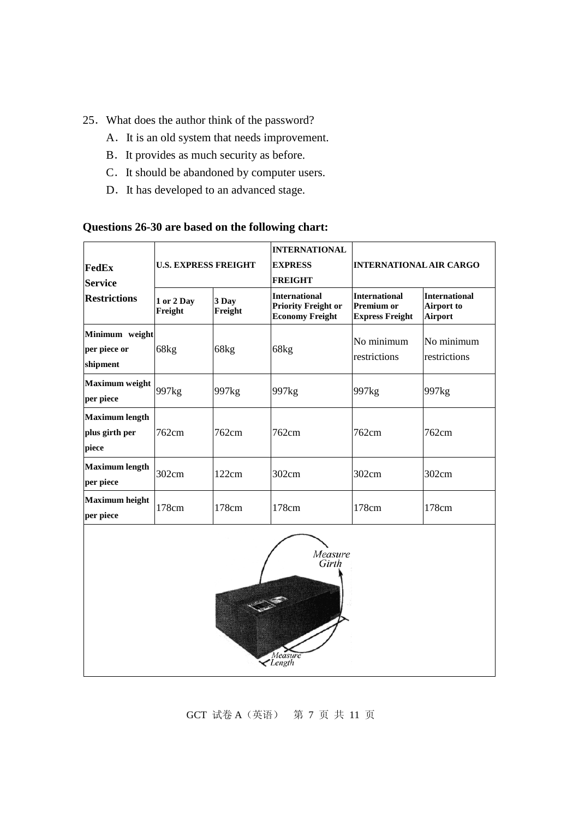- 25.What does the author think of the password?
	- A.It is an old system that needs improvement.
	- B.It provides as much security as before.
	- C. It should be abandoned by computer users.
	- D. It has developed to an advanced stage.

### **Questions 26-30 are based on the following chart:**

| <b>FedEx</b><br><b>Service</b>                   |                       | <b>U.S. EXPRESS FREIGHT</b> | <b>INTERNATIONAL</b><br><b>EXPRESS</b><br><b>FREIGHT</b>                     | <b>INTERNATIONAL AIR CARGO</b>                                      |                                               |
|--------------------------------------------------|-----------------------|-----------------------------|------------------------------------------------------------------------------|---------------------------------------------------------------------|-----------------------------------------------|
| <b>Restrictions</b>                              | 1 or 2 Day<br>Freight | 3 Day<br>Freight            | <b>International</b><br><b>Priority Freight or</b><br><b>Economy Freight</b> | <b>International</b><br><b>Premium or</b><br><b>Express Freight</b> | <b>International</b><br>Airport to<br>Airport |
| Minimum weight<br>per piece or<br>shipment       | 68kg                  | 68kg                        | 68kg                                                                         | No minimum<br>restrictions                                          | No minimum<br>restrictions                    |
| <b>Maximum</b> weight<br>per piece               | 997 <sub>kg</sub>     | 997 <sub>kg</sub>           | 997 <sub>kg</sub>                                                            | 997 <sub>kg</sub>                                                   | 997 <sub>kg</sub>                             |
| <b>Maximum length</b><br>plus girth per<br>piece | 762cm                 | 762cm                       | 762cm                                                                        | 762cm                                                               | 762cm                                         |
| <b>Maximum length</b><br>per piece               | 302cm                 | 122cm                       | 302cm                                                                        | 302cm                                                               | 302cm                                         |
| <b>Maximum height</b><br>per piece               | 178cm                 | 178cm                       | 178cm                                                                        | 178cm                                                               | 178cm                                         |
|                                                  |                       |                             | Measure<br>Girth                                                             |                                                                     |                                               |

GCT 试卷 A(英语) 第 7 页 共 11 页

Measure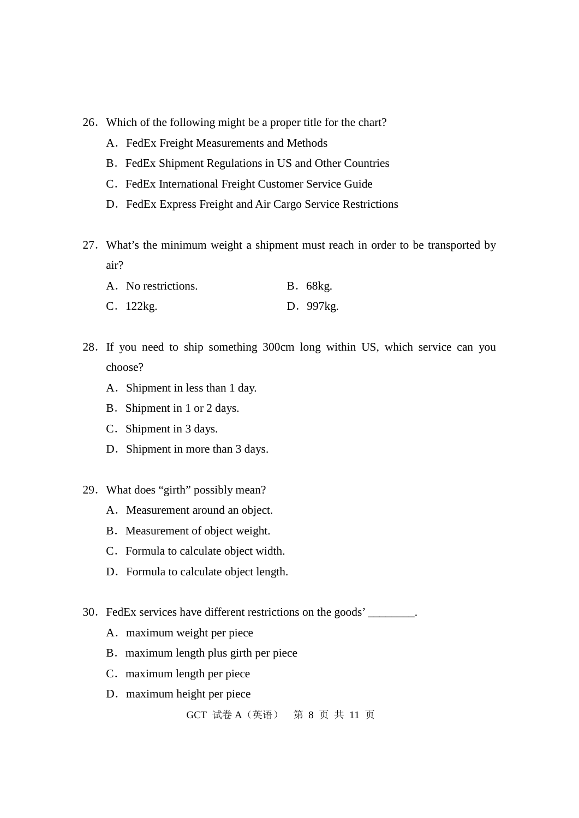- 26.Which of the following might be a proper title for the chart?
	- A. FedEx Freight Measurements and Methods
	- B. FedEx Shipment Regulations in US and Other Countries
	- C. FedEx International Freight Customer Service Guide
	- D. FedEx Express Freight and Air Cargo Service Restrictions
- 27.What's the minimum weight a shipment must reach in order to be transported by air?

| A. No restrictions. | <b>B.</b> 68kg. |
|---------------------|-----------------|
| C. 122kg.           | D. 997kg.       |

- 28.If you need to ship something 300cm long within US, which service can you choose?
	- A.Shipment in less than 1 day.
	- B. Shipment in 1 or 2 days.
	- C.Shipment in 3 days.
	- D. Shipment in more than 3 days.
- 29.What does "girth" possibly mean?
	- A. Measurement around an object.
	- B. Measurement of object weight.
	- C.Formula to calculate object width.
	- D. Formula to calculate object length.
- 30.FedEx services have different restrictions on the goods' \_\_\_\_\_\_\_\_.
	- A. maximum weight per piece
	- B. maximum length plus girth per piece
	- C. maximum length per piece
	- D. maximum height per piece

```
GCT 试卷 A(英语) 第 8 页 共 11 页
```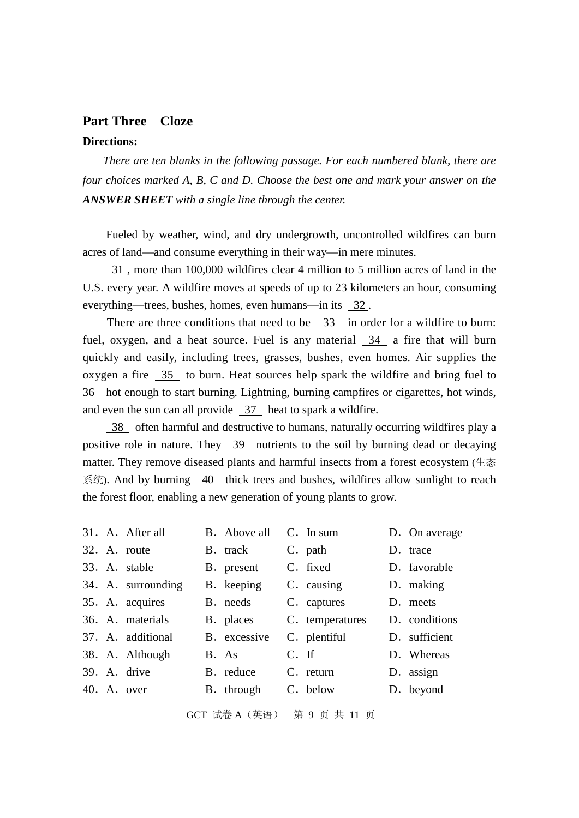### **Part Three Cloze Directions:**

*There are ten blanks in the following passage. For each numbered blank, there are four choices marked A, B, C and D. Choose the best one and mark your answer on the ANSWER SHEET with a single line through the center.*

Fueled by weather, wind, and dry undergrowth, uncontrolled wildfires can burn acres of land—and consume everything in their way—in mere minutes.

31 , more than 100,000 wildfires clear 4 million to 5 million acres of land in the U.S. every year. A wildfire moves at speeds of up to 23 kilometers an hour, consuming everything—trees, bushes, homes, even humans—in its 32 .

There are three conditions that need to be 33 in order for a wildfire to burn: fuel, oxygen, and a heat source. Fuel is any material 34 a fire that will burn quickly and easily, including trees, grasses, bushes, even homes. Air supplies the oxygen a fire  $\frac{35}{10}$  to burn. Heat sources help spark the wildfire and bring fuel to 36 hot enough to start burning. Lightning, burning campfires or cigarettes, hot winds, and even the sun can all provide  $37$  heat to spark a wildfire.

38 often harmful and destructive to humans, naturally occurring wildfires play a positive role in nature. They  $\frac{39}{2}$  nutrients to the soil by burning dead or decaying matter. They remove diseased plants and harmful insects from a forest ecosystem (生态 系统). And by burning 40 thick trees and bushes, wildfires allow sunlight to reach the forest floor, enabling a new generation of young plants to grow.

|  | 31. A. After all   | B. Above all |         | $C.$ In sum     | D. On average |
|--|--------------------|--------------|---------|-----------------|---------------|
|  | 32. A. route       | B. track     |         | C. path         | D. trace      |
|  | 33. A. stable      | B. present   |         | C. fixed        | D. favorable  |
|  | 34. A. surrounding | B. keeping   |         | C. causing      | D. making     |
|  | 35. A. acquires    | B. needs     |         | C. captures     | D. meets      |
|  | 36. A. materials   | B. places    |         | C. temperatures | D. conditions |
|  | 37. A. additional  | B. excessive |         | C. plentiful    | D. sufficient |
|  | 38. A. Although    | B. As        | $C.$ If |                 | D. Whereas    |
|  | 39. A. drive       | B. reduce    |         | C. return       | D. assign     |
|  | 40. A. over        | B. through   |         | C. below        | D. beyond     |
|  |                    |              |         |                 |               |

GCT 试卷 A(英语) 第 9 页 共 11 页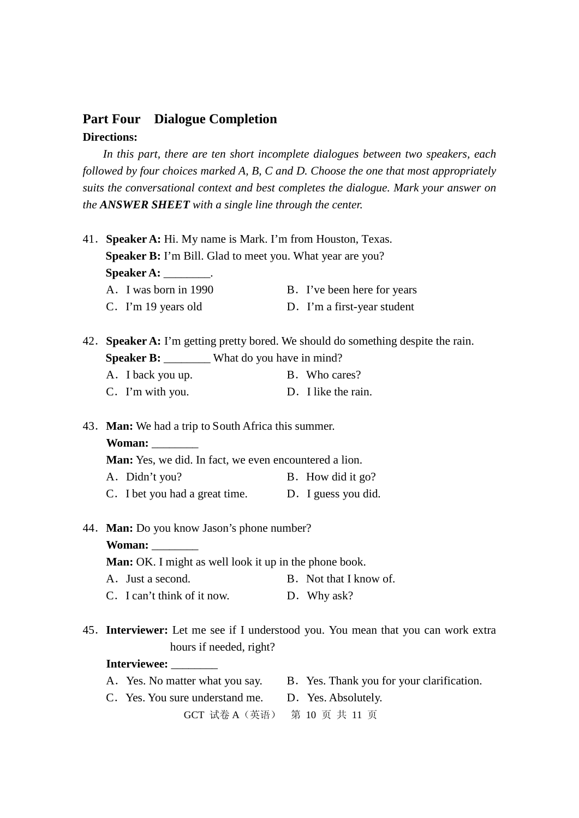### **Part Four Dialogue Completion Directions:**

*In this part, there are ten short incomplete dialogues between two speakers, each followed by four choices marked A, B, C and D. Choose the one that most appropriately suits the conversational context and best completes the dialogue. Mark your answer on the ANSWER SHEET with a single line through the center.* 

|  | 41. Speaker A: Hi. My name is Mark. I'm from Houston, Texas.                      |  |                                                                           |  |  |  |  |  |
|--|-----------------------------------------------------------------------------------|--|---------------------------------------------------------------------------|--|--|--|--|--|
|  | Speaker B: I'm Bill. Glad to meet you. What year are you?                         |  |                                                                           |  |  |  |  |  |
|  | Speaker A: _________.                                                             |  |                                                                           |  |  |  |  |  |
|  | A. I was born in 1990                                                             |  | B. I've been here for years                                               |  |  |  |  |  |
|  | C. I'm 19 years old                                                               |  | D. I'm a first-year student                                               |  |  |  |  |  |
|  | 42. Speaker A: I'm getting pretty bored. We should do something despite the rain. |  |                                                                           |  |  |  |  |  |
|  | Speaker B: ________ What do you have in mind?                                     |  |                                                                           |  |  |  |  |  |
|  | A. I back you up.                                                                 |  | B. Who cares?                                                             |  |  |  |  |  |
|  | C. I'm with you.                                                                  |  | D. I like the rain.                                                       |  |  |  |  |  |
|  | 43. Man: We had a trip to South Africa this summer.                               |  |                                                                           |  |  |  |  |  |
|  | Woman:                                                                            |  |                                                                           |  |  |  |  |  |
|  | Man: Yes, we did. In fact, we even encountered a lion.                            |  |                                                                           |  |  |  |  |  |
|  | A. Didn't you?                                                                    |  | B. How did it go?                                                         |  |  |  |  |  |
|  | C. I bet you had a great time. D. I guess you did.                                |  |                                                                           |  |  |  |  |  |
|  | 44. Man: Do you know Jason's phone number?                                        |  |                                                                           |  |  |  |  |  |
|  | Woman:                                                                            |  |                                                                           |  |  |  |  |  |
|  | <b>Man:</b> OK. I might as well look it up in the phone book.                     |  |                                                                           |  |  |  |  |  |
|  | A. Just a second.                                                                 |  | B. Not that I know of.                                                    |  |  |  |  |  |
|  | C. I can't think of it now.                                                       |  | D. Why ask?                                                               |  |  |  |  |  |
|  | 45. Interviewer: Let me see if I understood you. You mean that you can work extra |  |                                                                           |  |  |  |  |  |
|  | hours if needed, right?                                                           |  |                                                                           |  |  |  |  |  |
|  | Interviewee: ________                                                             |  |                                                                           |  |  |  |  |  |
|  |                                                                                   |  | A. Yes. No matter what you say. B. Yes. Thank you for your clarification. |  |  |  |  |  |
|  | C. Yes. You sure understand me. D. Yes. Absolutely.                               |  |                                                                           |  |  |  |  |  |
|  | <b>GCT 试卷 A</b> (英语)                                                              |  | 第10页共11页                                                                  |  |  |  |  |  |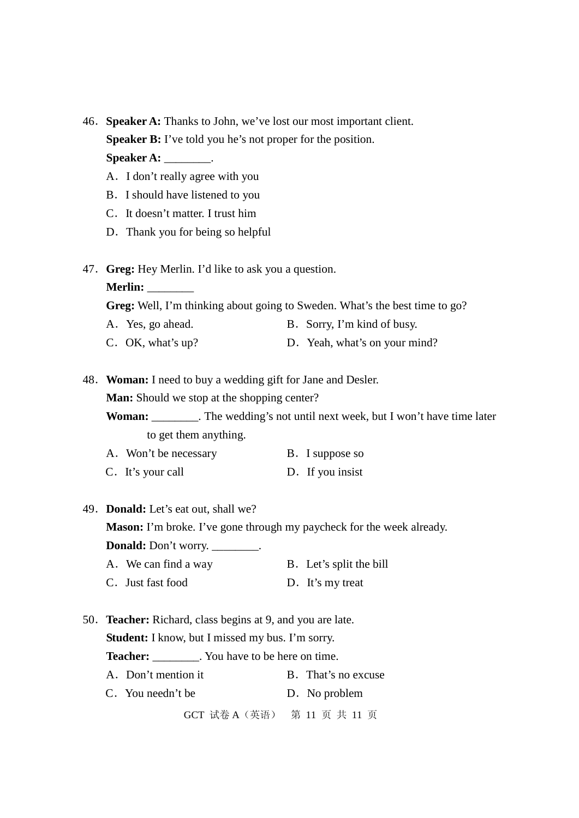46.**Speaker A:** Thanks to John, we've lost our most important client. **Speaker B:** I've told you he's not proper for the position.

**Speaker A:** \_\_\_\_\_\_\_\_.

- A.I don't really agree with you
- B.I should have listened to you
- C.It doesn't matter. I trust him
- D. Thank you for being so helpful
- 47.**Greg:** Hey Merlin. I'd like to ask you a question.

**Merlin:** \_\_\_\_\_\_\_\_

**Greg:** Well, I'm thinking about going to Sweden. What's the best time to go?

- A. Yes, go ahead. B. Sorry, I'm kind of busy.
- C. OK, what's up? D. Yeah, what's on your mind?
- 48.**Woman:** I need to buy a wedding gift for Jane and Desler.

**Man:** Should we stop at the shopping center?

**Woman:** \_\_\_\_\_\_\_\_. The wedding's not until next week, but I won't have time later to get them anything.

- A. Won't be necessary B. I suppose so
- C. It's your call D. If you insist
- 49.**Donald:** Let's eat out, shall we?

**Mason:** I'm broke. I've gone through my paycheck for the week already.

**Donald:** Don't worry. \_\_\_\_\_\_\_\_.

- A. We can find a way B. Let's split the bill
- C. Just fast food D. It's my treat
- 50.**Teacher:** Richard, class begins at 9, and you are late. **Student:** I know, but I missed my bus. I'm sorry.

**Teacher:** \_\_\_\_\_\_\_\_. You have to be here on time.

- A. Don't mention it B. That's no excuse
- C. You needn't be D. No problem

```
GCT 试卷 A(英语) 第 11 页 共 11 页
```